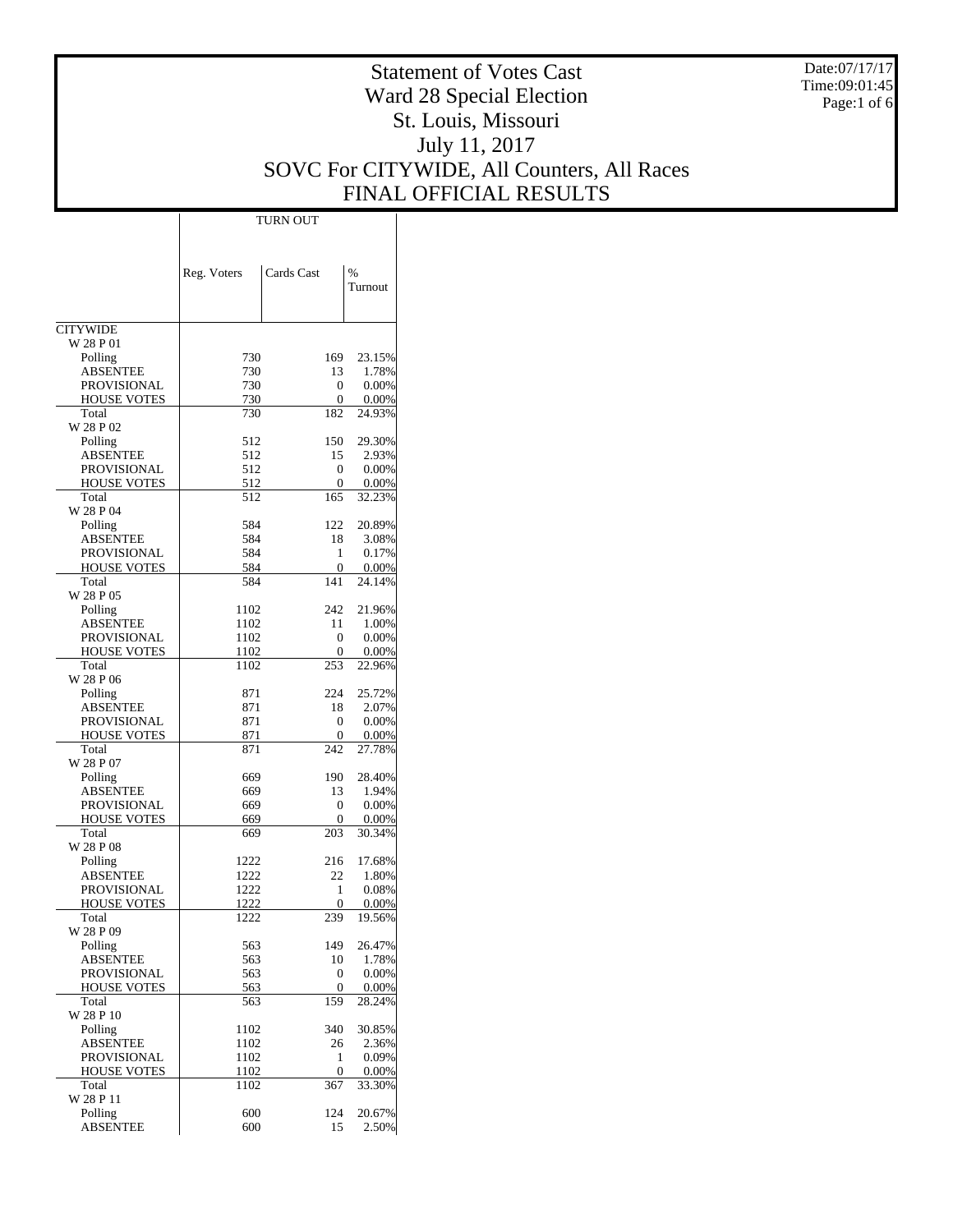Date:07/17/17 Time:09:01:45 Page:1 of 6

# Statement of Votes Cast Ward 28 Special Election St. Louis, Missouri July 11, 2017 SOVC For CITYWIDE, All Counters, All Races FINAL OFFICIAL RESULTS

|                              | Reg. Voters  | Cards Cast | $\frac{0}{0}$<br>Turnout |
|------------------------------|--------------|------------|--------------------------|
|                              |              |            |                          |
| <b>CITYWIDE</b><br>W 28 P 01 |              |            |                          |
| Polling                      | 730          | 169        | 23.15%                   |
| <b>ABSENTEE</b>              | 730          | 13         | 1.78%                    |
| PROVISIONAL                  | 730          | 0          | 0.00%                    |
| <b>HOUSE VOTES</b>           | 730          | 0          | 0.00%                    |
| Total                        | 730          | 182        | 24.93%                   |
| W 28 P 02                    |              |            |                          |
| Polling                      | 512          | 150        | 29.30%                   |
| ABSENTEE                     | 512          | 15         | 2.93%                    |
| PROVISIONAL                  | 512<br>512   | 0<br>0     | 0.00%<br>0.00%           |
| <b>HOUSE VOTES</b><br>Total  | 512          | 165        | 32.23%                   |
| W 28 P 04                    |              |            |                          |
| Polling                      | 584          | 122        | 20.89%                   |
| <b>ABSENTEE</b>              | 584          | 18         | 3.08%                    |
| PROVISIONAL                  | 584          | 1          | 0.17%                    |
| <b>HOUSE VOTES</b>           | 584          | 0          | 0.00%                    |
| Total                        | 584          | 141        | 24.14%                   |
| W 28 P 05                    |              |            |                          |
| Polling                      | 1102         | 242        | 21.96%                   |
| <b>ABSENTEE</b>              | 1102         | 11         | 1.00%                    |
| PROVISIONAL                  | 1102         | 0          | 0.00%                    |
| <b>HOUSE VOTES</b><br>Total  | 1102<br>1102 | 0<br>253   | 0.00%<br>22.96%          |
| W 28 P 06                    |              |            |                          |
| Polling                      | 871          | 224        | 25.72%                   |
| <b>ABSENTEE</b>              | 871          | 18         | 2.07%                    |
| PROVISIONAL                  | 871          | 0          | 0.00%                    |
| <b>HOUSE VOTES</b>           | 871          | 0          | 0.00%                    |
| Total                        | 871          | 242        | 27.78%                   |
| W 28 P 07                    |              |            |                          |
| Polling                      | 669          | 190        | 28.40%                   |
| ABSENTEE                     | 669          | 13         | 1.94%                    |
| PROVISIONAL                  | 669          | 0          | 0.00%                    |
| <b>HOUSE VOTES</b><br>Total  | 669          | 0<br>203   | 0.00%<br>30.34%          |
| W 28 P 08                    | 669          |            |                          |
| Polling                      | 1222         | 216        | 17.68%                   |
| ABSENTEE                     | 1222         | 22         | 1.80%                    |
| PROVISIONAL                  | 1222         | 1          | 0.08%                    |
| <b>HOUSE VOTES</b>           | 1222         | 0          | 0.00%                    |
| Total                        | 1222         | 239        | 19.56%                   |
| W 28 P 09                    |              |            |                          |
| Polling                      | 563          | 149        | 26.47%                   |
| <b>ABSENTEE</b>              | 563          | 10         | 1.78%                    |
| <b>PROVISIONAL</b>           | 563          | 0          | 0.00%                    |
| <b>HOUSE VOTES</b>           | 563          | 0          | 0.00%                    |
| Total<br>W 28 P 10           | 563          | 159        | 28.24%                   |
| Polling                      | 1102         | 340        | 30.85%                   |
| <b>ABSENTEE</b>              | 1102         | 26         | 2.36%                    |
| PROVISIONAL                  | 1102         | 1          | 0.09%                    |
| <b>HOUSE VOTES</b>           | 1102         | 0          | 0.00%                    |
| Total                        | 1102         | 367        | 33.30%                   |
| W 28 P 11                    |              |            |                          |
| Polling                      | 600          | 124        | 20.67%                   |
| <b>ABSENTEE</b>              | 600          | 15         | 2.50%                    |

TURN OUT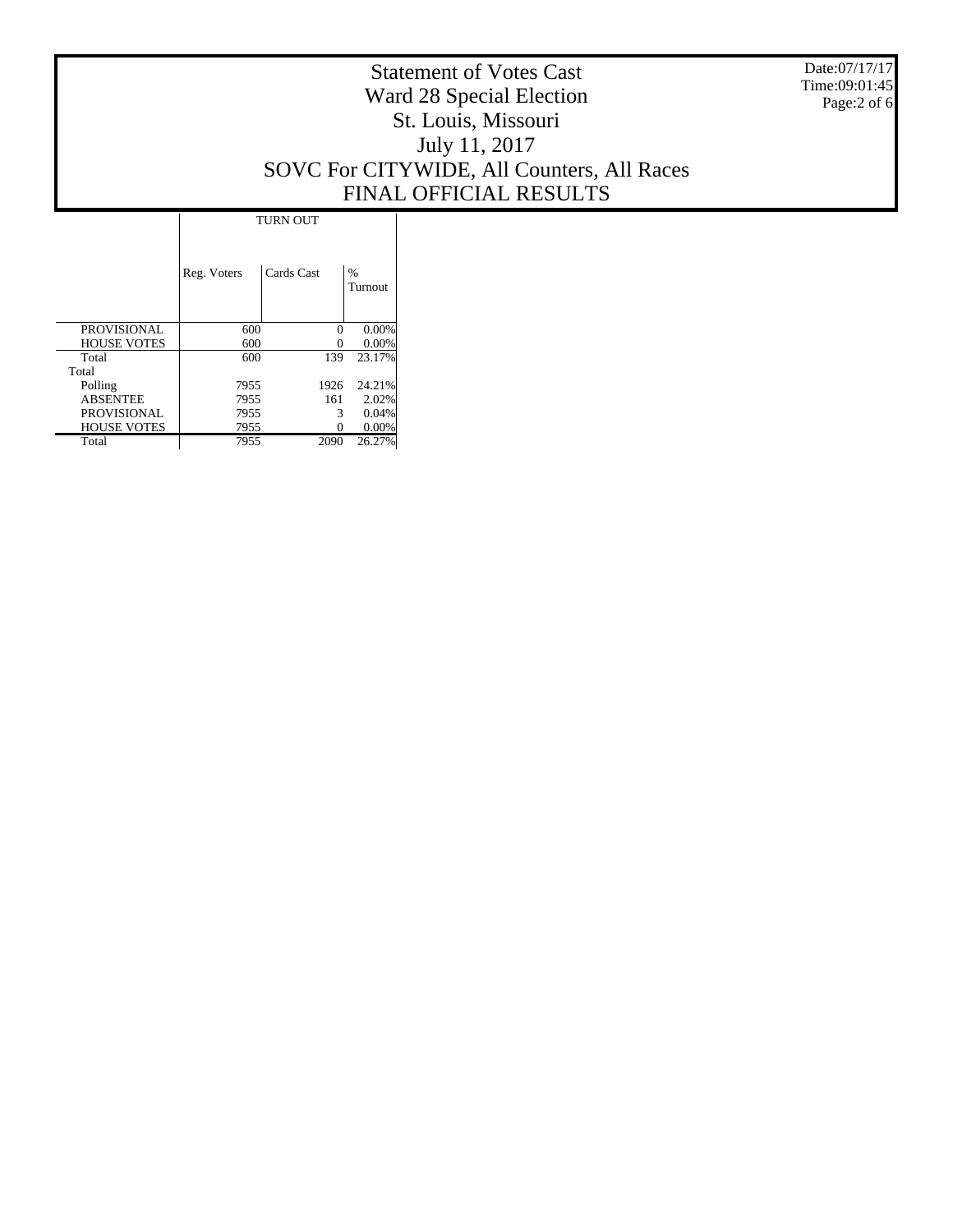Date:07/17/17 Time:09:01:45 Page:2 of 6

# Statement of Votes Cast Ward 28 Special Election St. Louis, Missouri July 11, 2017 SOVC For CITYWIDE, All Counters, All Races FINAL OFFICIAL RESULTS

|                    | <b>TURN OUT</b> |            |                          |  |  |
|--------------------|-----------------|------------|--------------------------|--|--|
|                    | Reg. Voters     | Cards Cast | $\frac{0}{0}$<br>Turnout |  |  |
| <b>PROVISIONAL</b> | 600             | $\Omega$   | 0.00%                    |  |  |
| <b>HOUSE VOTES</b> | 600             |            | 0.00%                    |  |  |
| Total              | 600             | 139        | 23.17%                   |  |  |
| Total              |                 |            |                          |  |  |
| Polling            | 7955            | 1926       | 24.21%                   |  |  |
| <b>ABSENTEE</b>    | 7955            | 161        | 2.02%                    |  |  |
| <b>PROVISIONAL</b> | 7955            | 3          | 0.04%                    |  |  |
| <b>HOUSE VOTES</b> | 7955            |            | $0.00\%$                 |  |  |
| Total              | 7955            | 2090       | 26.27%                   |  |  |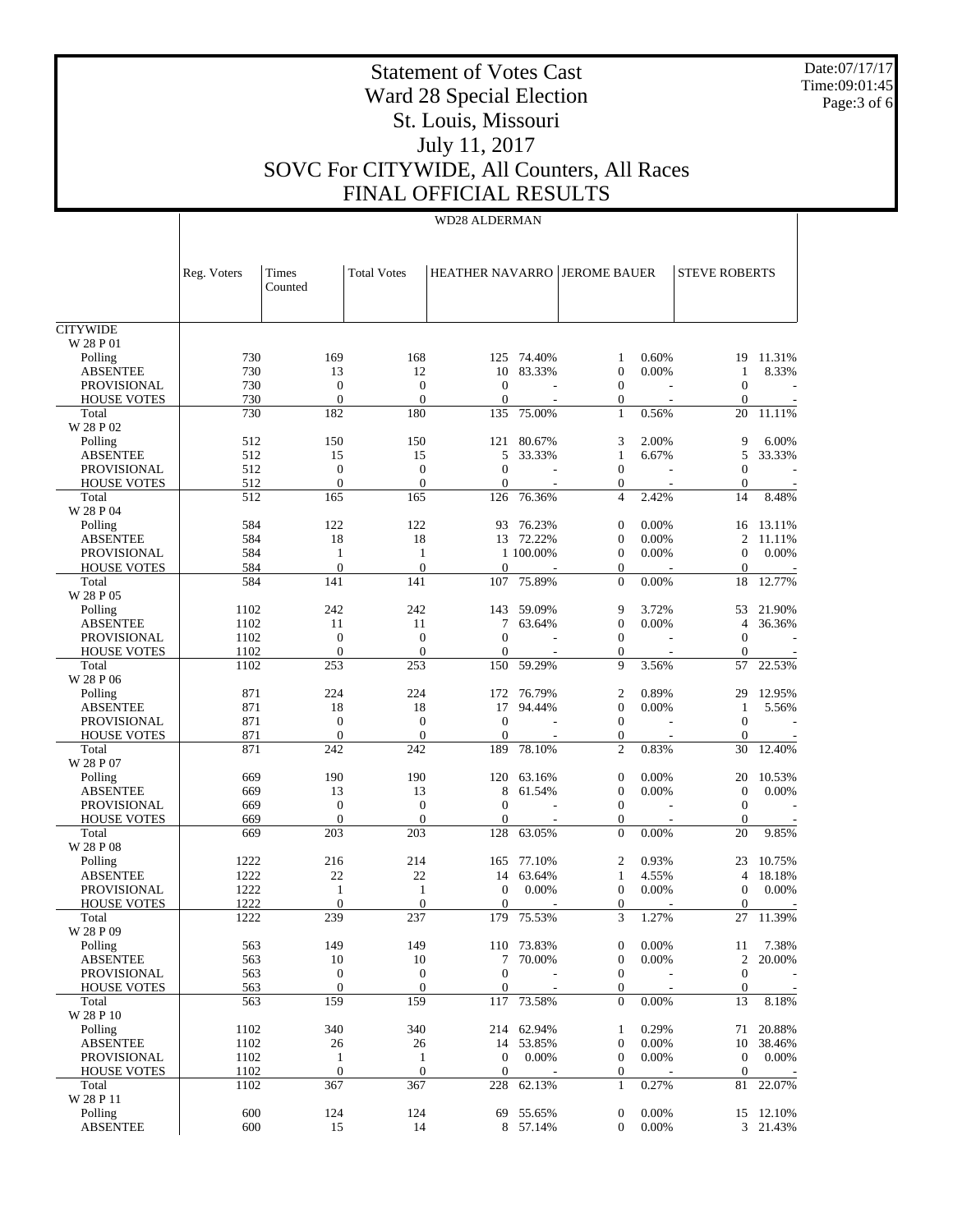Date:07/17/17 Time:09:01:45 Page:3 of 6

# Statement of Votes Cast Ward 28 Special Election St. Louis, Missouri July 11, 2017 SOVC For CITYWIDE, All Counters, All Races FINAL OFFICIAL RESULTS

### WD28 ALDERMAN

|                                       | Reg. Voters | Times<br>Counted                     | <b>Total Votes</b>               | <b>HEATHER NAVARRO JEROME BAUER</b> |                          |                              |       | <b>STEVE ROBERTS</b>           |           |
|---------------------------------------|-------------|--------------------------------------|----------------------------------|-------------------------------------|--------------------------|------------------------------|-------|--------------------------------|-----------|
| <b>CITYWIDE</b>                       |             |                                      |                                  |                                     |                          |                              |       |                                |           |
| W 28 P 01                             |             |                                      |                                  |                                     |                          |                              |       |                                |           |
| Polling                               | 730         | 169                                  | 168                              | 125                                 | 74.40%                   | 1                            | 0.60% | 19                             | 11.31%    |
| <b>ABSENTEE</b>                       | 730         | 13                                   | 12                               | 10                                  | 83.33%                   | $\mathbf{0}$                 | 0.00% | 1                              | 8.33%     |
| <b>PROVISIONAL</b>                    | 730         | $\mathbf{0}$                         | $\boldsymbol{0}$                 | $\overline{0}$                      | $\overline{\phantom{a}}$ | $\mathbf{0}$                 |       | $\mathbf{0}$                   |           |
| <b>HOUSE VOTES</b>                    | 730         | $\mathbf{0}$                         | $\Omega$                         | $\overline{0}$                      |                          | $\mathbf{0}$                 |       | 0                              |           |
| Total<br>W 28 P 02                    | 730         | 182                                  | 180                              | 135                                 | 75.00%                   | $\mathbf{1}$                 | 0.56% | 20                             | 11.11%    |
| Polling                               | 512         | 150                                  | 150                              | 121                                 | 80.67%                   | 3                            | 2.00% | 9                              | 6.00%     |
| <b>ABSENTEE</b>                       | 512         | 15                                   | 15                               | 5                                   | 33.33%                   | $\mathbf{1}$                 | 6.67% | 5                              | 33.33%    |
| <b>PROVISIONAL</b>                    | 512         | $\mathbf{0}$                         | $\mathbf{0}$                     | $\overline{0}$                      |                          | $\mathbf{0}$                 |       | $\overline{0}$                 |           |
| <b>HOUSE VOTES</b>                    | 512         | $\mathbf{0}$                         | $\mathbf{0}$                     | $\overline{0}$                      |                          | $\mathbf{0}$                 |       | 0                              |           |
| Total                                 | 512         | 165                                  | 165                              | 126                                 | 76.36%                   | $\overline{4}$               | 2.42% | 14                             | 8.48%     |
| W 28 P 04                             |             |                                      |                                  |                                     |                          |                              |       |                                |           |
| Polling                               | 584         | 122                                  | 122                              | 93                                  | 76.23%                   | $\boldsymbol{0}$             | 0.00% | 16                             | 13.11%    |
| <b>ABSENTEE</b>                       | 584         | 18                                   | 18                               |                                     | 13 72.22%                | $\mathbf{0}$                 | 0.00% | $\overline{c}$                 | 11.11%    |
| <b>PROVISIONAL</b>                    | 584         | 1                                    | $\mathbf{1}$                     |                                     | 1 100,00%                | $\mathbf{0}$                 | 0.00% | $\mathbf{0}$                   | 0.00%     |
| <b>HOUSE VOTES</b>                    | 584         | $\mathbf{0}$                         | $\mathbf{0}$                     | $\overline{0}$                      |                          | $\mathbf{0}$                 |       | $\overline{0}$                 |           |
| Total<br>W 28 P 05                    | 584         | 141                                  | 141                              | 107                                 | 75.89%                   | $\mathbf{0}$                 | 0.00% | 18                             | 12.77%    |
| Polling                               | 1102        | 242                                  | 242                              | 143                                 | 59.09%                   | 9                            | 3.72% | 53                             | 21.90%    |
| <b>ABSENTEE</b>                       | 1102        | 11                                   | 11                               | $\tau$                              | 63.64%                   | $\boldsymbol{0}$             | 0.00% | 4                              | 36.36%    |
| <b>PROVISIONAL</b>                    | 1102        | $\mathbf{0}$                         | $\mathbf{0}$                     | $\theta$                            |                          | $\mathbf{0}$                 |       | $\overline{0}$                 |           |
| <b>HOUSE VOTES</b>                    | 1102        | $\mathbf{0}$                         | $\mathbf{0}$                     | $\overline{0}$                      |                          | $\mathbf{0}$                 |       | $\overline{0}$                 |           |
| Total                                 | 1102        | 253                                  | 253                              | 150                                 | 59.29%                   | 9                            | 3.56% | 57                             | 22.53%    |
| W 28 P 06                             |             |                                      |                                  |                                     |                          |                              |       |                                |           |
| Polling                               | 871         | 224                                  | 224                              | 172                                 | 76.79%                   | 2                            | 0.89% | 29                             | 12.95%    |
| <b>ABSENTEE</b>                       | 871         | 18                                   | 18                               | 17                                  | 94.44%                   | $\mathbf{0}$                 | 0.00% | 1                              | 5.56%     |
| <b>PROVISIONAL</b>                    | 871         | $\boldsymbol{0}$                     | $\mathbf{0}$                     | $\overline{0}$                      |                          | $\mathbf{0}$                 |       | $\mathbf{0}$                   |           |
| <b>HOUSE VOTES</b>                    | 871         | $\mathbf{0}$                         | $\mathbf{0}$                     | $\overline{0}$                      |                          | $\boldsymbol{0}$             |       | 0                              |           |
| Total                                 | 871         | 242                                  | 242                              | 189                                 | 78.10%                   | $\overline{2}$               | 0.83% | 30                             | 12.40%    |
| W 28 P 07                             |             |                                      |                                  |                                     |                          |                              |       |                                |           |
| Polling                               | 669         | 190                                  | 190                              | 120                                 | 63.16%                   | $\boldsymbol{0}$             | 0.00% | 20                             | 10.53%    |
| <b>ABSENTEE</b><br><b>PROVISIONAL</b> | 669<br>669  | 13<br>$\mathbf{0}$                   | 13<br>$\mathbf{0}$               | 8<br>$\overline{0}$                 | 61.54%                   | $\mathbf{0}$<br>$\mathbf{0}$ | 0.00% | $\mathbf{0}$<br>$\mathbf{0}$   | 0.00%     |
| <b>HOUSE VOTES</b>                    | 669         | $\mathbf{0}$                         | $\mathbf{0}$                     | $\overline{0}$                      |                          | $\mathbf{0}$                 |       | 0                              |           |
| Total                                 | 669         | 203                                  | 203                              | 128                                 | 63.05%                   | $\Omega$                     | 0.00% | 20                             | 9.85%     |
| W 28 P 08                             |             |                                      |                                  |                                     |                          |                              |       |                                |           |
| Polling                               | 1222        | 216                                  | 214                              | 165                                 | 77.10%                   | 2                            | 0.93% | 23                             | 10.75%    |
| <b>ABSENTEE</b>                       | 1222        | 22                                   | 22                               | 14                                  | 63.64%                   | $\mathbf{1}$                 | 4.55% | 4                              | 18.18%    |
| <b>PROVISIONAL</b>                    | 1222        | 1                                    | 1                                | $\overline{0}$                      | 0.00%                    | $\mathbf{0}$                 | 0.00% | $\mathbf{0}$                   | 0.00%     |
| <b>HOUSE VOTES</b>                    | 1222        | $\mathbf{0}$                         | $\mathbf{0}$                     | $\overline{0}$                      |                          | $\boldsymbol{0}$             |       | $\boldsymbol{0}$               |           |
| Total                                 | 1222        | 239                                  | 237                              | 179                                 | 75.53%                   | 3                            | 1.27% | 27                             | 11.39%    |
| W 28 P 09                             |             |                                      |                                  |                                     |                          |                              |       |                                |           |
| Polling                               | 563         | 149                                  | 149                              |                                     | 110 73.83%               | $\overline{0}$               | 0.00% | 11                             | 7.38%     |
| <b>ABSENTEE</b>                       | 563         | 10                                   | 10                               |                                     | 7 70.00%                 | $\boldsymbol{0}$             | 0.00% | 2                              | 20.00%    |
| PROVISIONAL<br><b>HOUSE VOTES</b>     | 563<br>563  | $\boldsymbol{0}$<br>$\boldsymbol{0}$ | $\boldsymbol{0}$<br>$\mathbf{0}$ | $\overline{0}$<br>$\boldsymbol{0}$  |                          | $\mathbf{0}$<br>$\mathbf{0}$ |       | $\overline{0}$<br>$\mathbf{0}$ |           |
| Total                                 | 563         | 159                                  | 159                              | 117                                 | 73.58%                   | $\mathbf{0}$                 | 0.00% | 13                             | 8.18%     |
| W 28 P 10                             |             |                                      |                                  |                                     |                          |                              |       |                                |           |
| Polling                               | 1102        | 340                                  | 340                              |                                     | 214 62.94%               | $\mathbf{1}$                 | 0.29% | 71                             | 20.88%    |
| <b>ABSENTEE</b>                       | 1102        | 26                                   | 26                               |                                     | 14 53.85%                | $\mathbf{0}$                 | 0.00% |                                | 10 38.46% |
| PROVISIONAL                           | 1102        | $\mathbf{1}$                         | $\mathbf{1}$                     | $\boldsymbol{0}$                    | 0.00%                    | $\mathbf{0}$                 | 0.00% | $\boldsymbol{0}$               | 0.00%     |
| <b>HOUSE VOTES</b>                    | 1102        | $\boldsymbol{0}$                     | $\boldsymbol{0}$                 | $\boldsymbol{0}$                    |                          | $\mathbf{0}$                 |       | $\boldsymbol{0}$               |           |
| Total                                 | 1102        | 367                                  | 367                              | 228                                 | 62.13%                   | $\mathbf{1}$                 | 0.27% | 81                             | 22.07%    |
| W 28 P 11                             |             |                                      |                                  |                                     |                          |                              |       |                                |           |
| Polling                               | 600         | 124                                  | 124                              |                                     | 69 55.65%                | $\mathbf{0}$                 | 0.00% |                                | 15 12.10% |
| <b>ABSENTEE</b>                       | 600         | 15                                   | 14                               |                                     | 8 57.14%                 | $\overline{0}$               | 0.00% |                                | 3 21.43%  |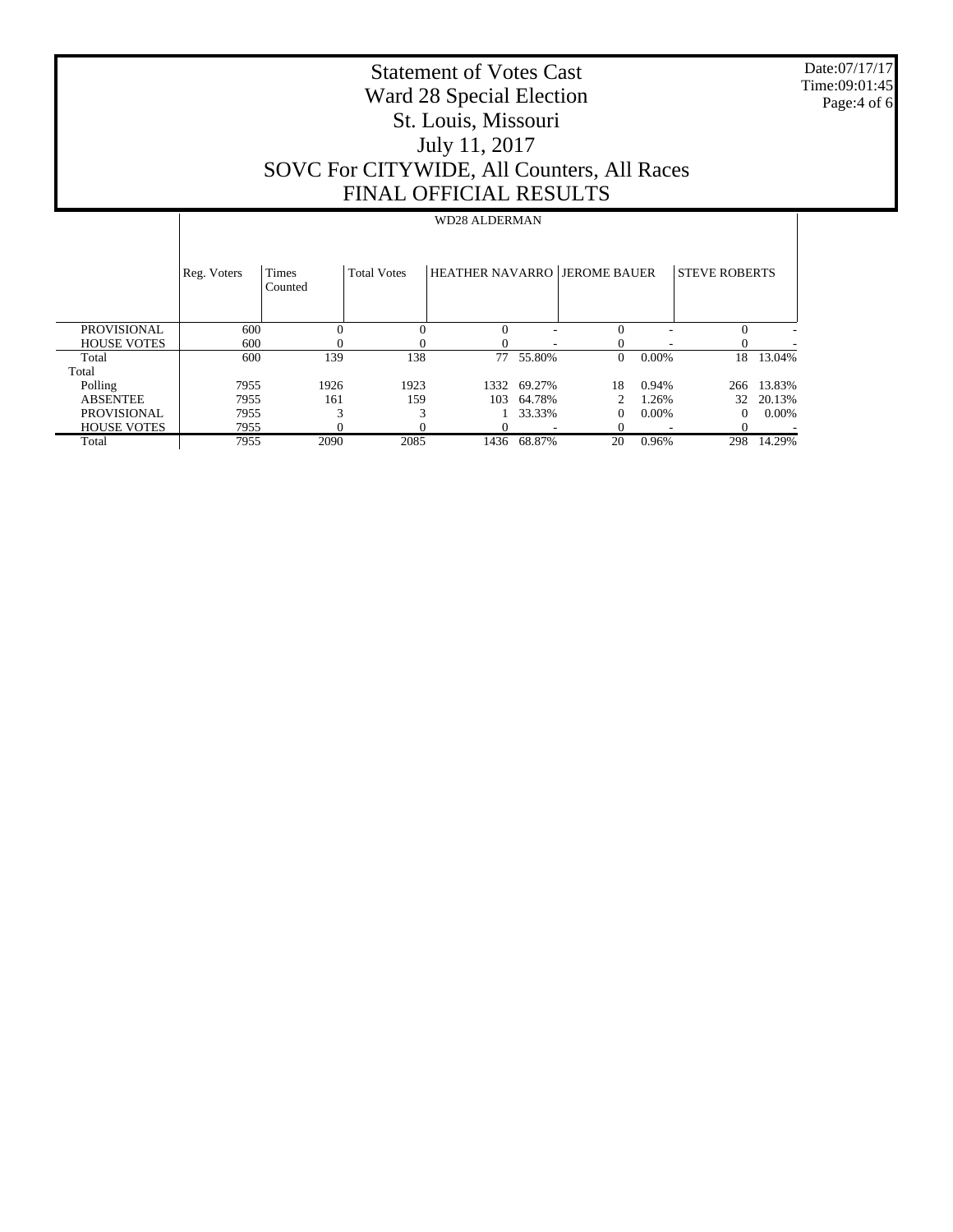Date:07/17/17 Time:09:01:45 Page:4 of 6

# Statement of Votes Cast Ward 28 Special Election St. Louis, Missouri July 11, 2017 SOVC For CITYWIDE, All Counters, All Races FINAL OFFICIAL RESULTS

### WD28 ALDERMAN

|                    | Reg. Voters | Times<br>Counted | <b>Total Votes</b> | <b>HEATHER NAVARRO JEROME BAUER</b> |        |    |          | <b>STEVE ROBERTS</b> |        |
|--------------------|-------------|------------------|--------------------|-------------------------------------|--------|----|----------|----------------------|--------|
| PROVISIONAL        | 600         |                  |                    |                                     | ۰      |    |          |                      | ٠      |
| <b>HOUSE VOTES</b> | 600         |                  |                    |                                     |        |    |          |                      |        |
| Total              | 600         | 139              | 138                | 77                                  | 55.80% | 0  | $0.00\%$ | 18                   | 13.04% |
| Total              |             |                  |                    |                                     |        |    |          |                      |        |
| Polling            | 7955        | 1926             | 1923               | 1332                                | 69.27% | 18 | 0.94%    | 266                  | 13.83% |
| <b>ABSENTEE</b>    | 7955        | 161              | 159                | 103                                 | 64.78% |    | 1.26%    | 32                   | 20.13% |
| <b>PROVISIONAL</b> | 7955        |                  |                    |                                     | 33.33% | 0  | $0.00\%$ | $\Omega$             | 0.00%  |
| <b>HOUSE VOTES</b> | 7955        |                  |                    |                                     |        |    |          |                      |        |
| Total              | 7955        | 2090             | 2085               | 1436                                | 68.87% | 20 | 0.96%    | 298                  | 14.29% |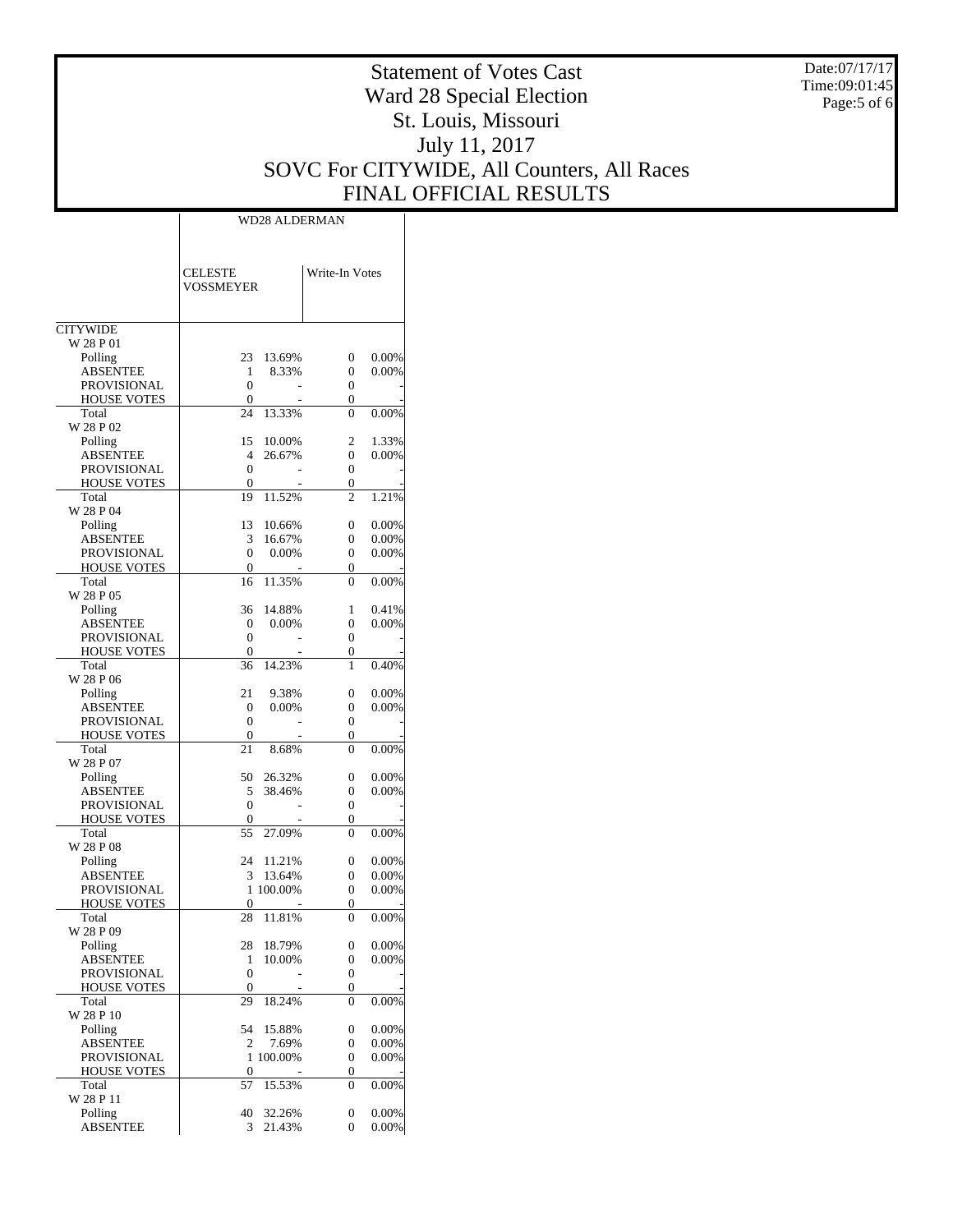Date:07/17/17 Time:09:01:45 Page:5 of 6

# Statement of Votes Cast Ward 28 Special Election St. Louis, Missouri July 11, 2017 SOVC For CITYWIDE, All Counters, All Races FINAL OFFICIAL RESULTS

Τ

|                                       | WD28 ALDERMAN                          |                           |  |  |  |  |
|---------------------------------------|----------------------------------------|---------------------------|--|--|--|--|
|                                       | <b>CELESTE</b><br>VOSSMEYER            | Write-In Votes            |  |  |  |  |
| <b>CITYWIDE</b>                       |                                        |                           |  |  |  |  |
| W 28 P 01                             |                                        |                           |  |  |  |  |
| Polling                               | 23<br>13.69%                           | 0.00%<br>0                |  |  |  |  |
| <b>ABSENTEE</b><br><b>PROVISIONAL</b> | 8.33%<br>1<br>$\boldsymbol{0}$         | 0.00%<br>0<br>0           |  |  |  |  |
| HOUSE VOTES                           | 0                                      | 0                         |  |  |  |  |
| Total                                 | 24<br>13.33%                           | $\Omega$<br>0.00%         |  |  |  |  |
| W 28 P 02                             |                                        |                           |  |  |  |  |
| Polling                               | 15<br>10.00%                           | 2<br>1.33%                |  |  |  |  |
| ABSENTEE                              | 4<br>26.67%                            | $\boldsymbol{0}$<br>0.00% |  |  |  |  |
| PROVISIONAL<br>HOUSE VOTES            | 0<br>0                                 | 0<br>0                    |  |  |  |  |
| Total                                 | 11.52%<br>19                           | 1.21%<br>2                |  |  |  |  |
| W 28 P 04                             |                                        |                           |  |  |  |  |
| Polling                               | 13<br>10.66%                           | 0.00%<br>0                |  |  |  |  |
| <b>ABSENTEE</b>                       | 3<br>16.67%<br>$\overline{0}$<br>0.00% | $0.00\%$<br>0<br>0        |  |  |  |  |
| PROVISIONAL<br>HOUSE VOTES            | 0                                      | 0.00%<br>0                |  |  |  |  |
| Total                                 | 11.35%<br>16                           | 0.00%<br>0                |  |  |  |  |
| W 28 P 05                             |                                        |                           |  |  |  |  |
| Polling                               | 36<br>14.88%                           | 0.41%<br>1                |  |  |  |  |
| ABSENTEE                              | 0.00%<br>0                             | 0<br>0.00%                |  |  |  |  |
| PROVISIONAL<br>HOUSE VOTES            | 0<br>0                                 | 0<br>0                    |  |  |  |  |
| Total                                 | 14.23%<br>36                           | 0.40%<br>1                |  |  |  |  |
| W 28 P 06                             |                                        |                           |  |  |  |  |
| Polling                               | 21<br>9.38%                            | 0.00%<br>0                |  |  |  |  |
| ABSENTEE                              | 0.00%<br>0                             | 0.00%<br>0                |  |  |  |  |
| PROVISIONAL                           | 0                                      | $\overline{0}$            |  |  |  |  |
| <b>HOUSE VOTES</b><br>Total           | 0<br>21<br>8.68%                       | 0<br>0.00%<br>0           |  |  |  |  |
| W 28 P 07                             |                                        |                           |  |  |  |  |
| Polling                               | 50<br>26.32%                           | 0.00%<br>0                |  |  |  |  |
| ABSENTEE                              | 5<br>38.46%                            | 0.00%<br>0                |  |  |  |  |
| PROVISIONAL                           | 0                                      | 0                         |  |  |  |  |
| <b>HOUSE VOTES</b><br>Total           | 0<br>55<br>27.09%                      | 0<br>0.00%<br>0           |  |  |  |  |
| W 28 P 08                             |                                        |                           |  |  |  |  |
| Polling                               | 24<br>11.21%                           | 0.00%<br>0                |  |  |  |  |
| ABSENTEE                              | 13.64%<br>3                            | 0.00%<br>0                |  |  |  |  |
| PROVISIONAL                           | 1 100.00%                              | 0<br>0.00%                |  |  |  |  |
| <u>HOUSE VOTES</u><br>Total           | $\overline{0}$                         | $\overline{0}$<br>0       |  |  |  |  |
| W 28 P 09                             | 28<br>11.81%                           | 0.00%                     |  |  |  |  |
| Polling                               | 28<br>18.79%                           | 0<br>0.00%                |  |  |  |  |
| ABSENTEE                              | 1<br>10.00%                            | 0<br>0.00%                |  |  |  |  |
| PROVISIONAL                           | $\boldsymbol{0}$                       | 0                         |  |  |  |  |
| HOUSE VOTES                           | 0                                      | 0                         |  |  |  |  |
| Total<br>W 28 P 10                    | 29<br>18.24%                           | 0<br>0.00%                |  |  |  |  |
| Polling                               | 54<br>15.88%                           | 0.00%<br>0                |  |  |  |  |
| ABSENTEE                              | 7.69%<br>2                             | 0.00%<br>0                |  |  |  |  |
| PROVISIONAL                           | 100.00%<br>1                           | 0<br>0.00%                |  |  |  |  |
| HOUSE VOTES<br>Total                  | 0<br>15.53%<br>57                      | 0<br>0<br>0.00%           |  |  |  |  |
| W 28 P 11                             |                                        |                           |  |  |  |  |
| Polling                               | 40<br>32.26%                           | 0.00%<br>0                |  |  |  |  |
| ABSENTEE                              | 21.43%<br>3                            | 0.00%<br>0                |  |  |  |  |
|                                       |                                        |                           |  |  |  |  |